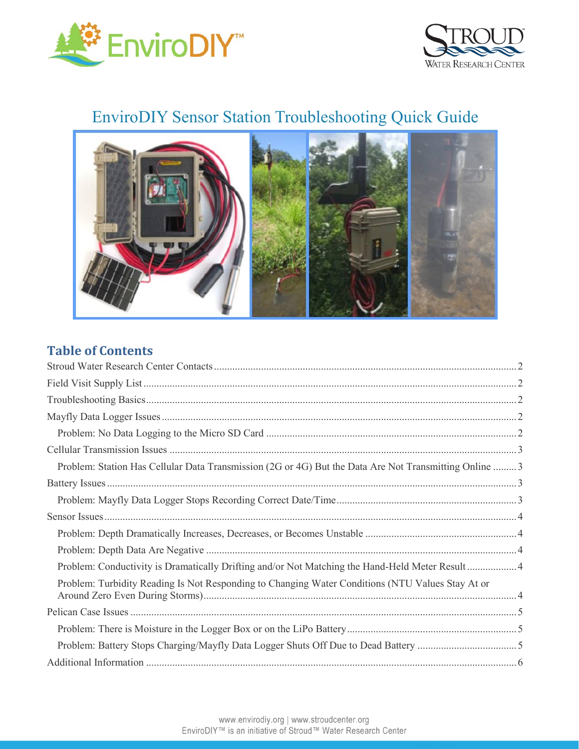



# EnviroDIY Sensor Station Troubleshooting Quick Guide



### **Table of Contents**

| Problem: Station Has Cellular Data Transmission (2G or 4G) But the Data Are Not Transmitting Online 3 |  |
|-------------------------------------------------------------------------------------------------------|--|
|                                                                                                       |  |
|                                                                                                       |  |
|                                                                                                       |  |
|                                                                                                       |  |
|                                                                                                       |  |
| Problem: Conductivity is Dramatically Drifting and/or Not Matching the Hand-Held Meter Result4        |  |
| Problem: Turbidity Reading Is Not Responding to Changing Water Conditions (NTU Values Stay At or      |  |
|                                                                                                       |  |
|                                                                                                       |  |
|                                                                                                       |  |
|                                                                                                       |  |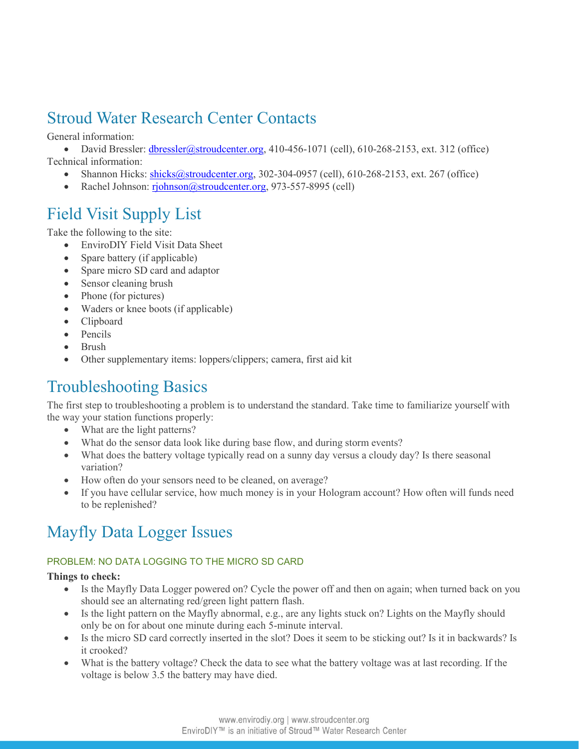## <span id="page-1-0"></span>Stroud Water Research Center Contacts

General information:

• David Bressler: [dbressler@stroudcenter.org,](mailto:dbressler@stroudcenter.org) 410-456-1071 (cell), 610-268-2153, ext. 312 (office) Technical information:

- Shannon Hicks: [shicks@stroudcenter.org,](mailto:shicks@stroudcenter.org) 302-304-0957 (cell), 610-268-2153, ext. 267 (office)
- Rachel Johnson: [rjohnson@stroudcenter.org,](mailto:rjohnson@stroudcenter.org) 973-557-8995 (cell)

## <span id="page-1-1"></span>Field Visit Supply List

Take the following to the site:

- EnviroDIY Field Visit Data Sheet
- Spare battery (if applicable)
- Spare micro SD card and adaptor
- Sensor cleaning brush
- Phone (for pictures)
- Waders or knee boots (if applicable)
- Clipboard
- Pencils
- Brush
- Other supplementary items: loppers/clippers; camera, first aid kit

## <span id="page-1-2"></span>Troubleshooting Basics

The first step to troubleshooting a problem is to understand the standard. Take time to familiarize yourself with the way your station functions properly:

- What are the light patterns?
- What do the sensor data look like during base flow, and during storm events?
- What does the battery voltage typically read on a sunny day versus a cloudy day? Is there seasonal variation?
- How often do your sensors need to be cleaned, on average?
- <span id="page-1-3"></span> If you have cellular service, how much money is in your Hologram account? How often will funds need to be replenished?

## Mayfly Data Logger Issues

#### <span id="page-1-4"></span>PROBLEM: NO DATA LOGGING TO THE MICRO SD CARD

#### **Things to check:**

- Is the Mayfly Data Logger powered on? Cycle the power off and then on again; when turned back on you should see an alternating red/green light pattern flash.
- Is the light pattern on the Mayfly abnormal, e.g., are any lights stuck on? Lights on the Mayfly should only be on for about one minute during each 5-minute interval.
- Is the micro SD card correctly inserted in the slot? Does it seem to be sticking out? Is it in backwards? Is it crooked?
- What is the battery voltage? Check the data to see what the battery voltage was at last recording. If the voltage is below 3.5 the battery may have died.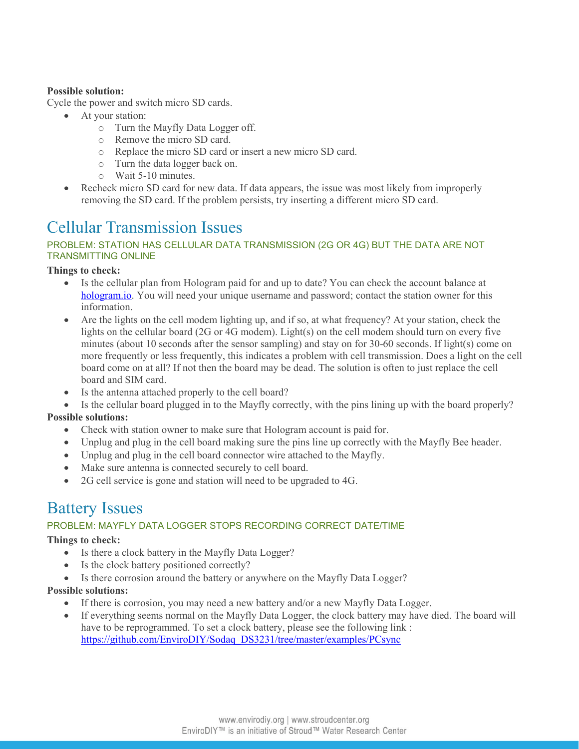#### **Possible solution:**

Cycle the power and switch micro SD cards.

- At your station:
	- o Turn the Mayfly Data Logger off.
	- o Remove the micro SD card.
	- o Replace the micro SD card or insert a new micro SD card.
	- o Turn the data logger back on.
	- o Wait 5-10 minutes.
- Recheck micro SD card for new data. If data appears, the issue was most likely from improperly removing the SD card. If the problem persists, try inserting a different micro SD card.

## <span id="page-2-0"></span>Cellular Transmission Issues

#### <span id="page-2-1"></span>PROBLEM: STATION HAS CELLULAR DATA TRANSMISSION (2G OR 4G) BUT THE DATA ARE NOT TRANSMITTING ONLINE

#### **Things to check:**

- Is the cellular plan from Hologram paid for and up to date? You can check the account balance at [hologram.io.](https://hologram.io/) You will need your unique username and password; contact the station owner for this information.
- Are the lights on the cell modem lighting up, and if so, at what frequency? At your station, check the lights on the cellular board (2G or 4G modem). Light(s) on the cell modem should turn on every five minutes (about 10 seconds after the sensor sampling) and stay on for 30-60 seconds. If light(s) come on more frequently or less frequently, this indicates a problem with cell transmission. Does a light on the cell board come on at all? If not then the board may be dead. The solution is often to just replace the cell board and SIM card.
- Is the antenna attached properly to the cell board?
- Is the cellular board plugged in to the Mayfly correctly, with the pins lining up with the board properly?

#### **Possible solutions:**

- Check with station owner to make sure that Hologram account is paid for.
- Unplug and plug in the cell board making sure the pins line up correctly with the Mayfly Bee header.
- Unplug and plug in the cell board connector wire attached to the Mayfly.
- Make sure antenna is connected securely to cell board.
- 2G cell service is gone and station will need to be upgraded to 4G.

### <span id="page-2-2"></span>Battery Issues

#### <span id="page-2-3"></span>PROBLEM: MAYFLY DATA LOGGER STOPS RECORDING CORRECT DATE/TIME

#### **Things to check:**

- Is there a clock battery in the Mayfly Data Logger?
- Is the clock battery positioned correctly?
- Is there corrosion around the battery or anywhere on the Mayfly Data Logger?

#### **Possible solutions:**

- If there is corrosion, you may need a new battery and/or a new Mayfly Data Logger.
- If everything seems normal on the Mayfly Data Logger, the clock battery may have died. The board will have to be reprogrammed. To set a clock battery, please see the following link : [https://github.com/EnviroDIY/Sodaq\\_DS3231/tree/master/examples/PCsync](https://github.com/EnviroDIY/Sodaq_DS3231/tree/master/examples/PCsync)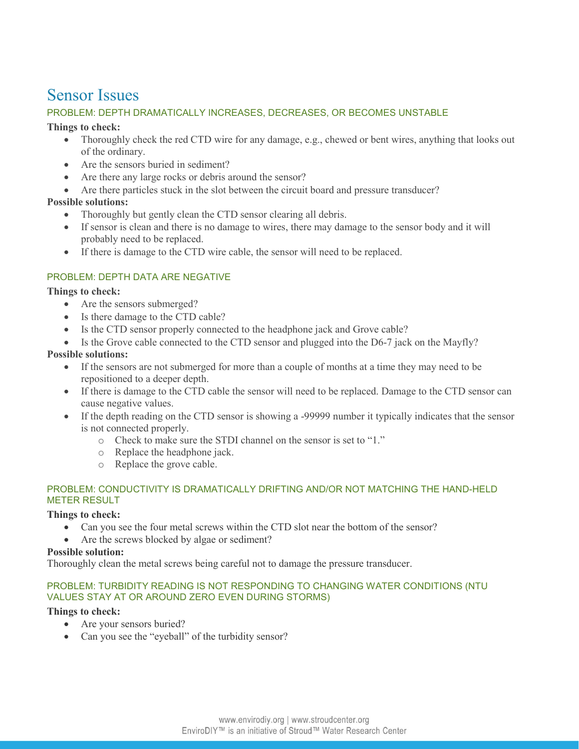### <span id="page-3-0"></span>Sensor Issues

#### <span id="page-3-1"></span>PROBLEM: DEPTH DRAMATICALLY INCREASES, DECREASES, OR BECOMES UNSTABLE

#### **Things to check:**

- Thoroughly check the red CTD wire for any damage, e.g., chewed or bent wires, anything that looks out of the ordinary.
- Are the sensors buried in sediment?
- Are there any large rocks or debris around the sensor?
- Are there particles stuck in the slot between the circuit board and pressure transducer?

#### **Possible solutions:**

- Thoroughly but gently clean the CTD sensor clearing all debris.
- If sensor is clean and there is no damage to wires, there may damage to the sensor body and it will probably need to be replaced.
- If there is damage to the CTD wire cable, the sensor will need to be replaced.

#### <span id="page-3-2"></span>PROBLEM: DEPTH DATA ARE NEGATIVE

#### **Things to check:**

- Are the sensors submerged?
- Is there damage to the CTD cable?
- Is the CTD sensor properly connected to the headphone jack and Grove cable?
- $\bullet$  Is the Grove cable connected to the CTD sensor and plugged into the D6-7 jack on the Mayfly?

#### **Possible solutions:**

- If the sensors are not submerged for more than a couple of months at a time they may need to be repositioned to a deeper depth.
- If there is damage to the CTD cable the sensor will need to be replaced. Damage to the CTD sensor can cause negative values.
- If the depth reading on the CTD sensor is showing a -99999 number it typically indicates that the sensor is not connected properly.
	- o Check to make sure the STDI channel on the sensor is set to "1."
	- o Replace the headphone jack.
	- o Replace the grove cable.

#### <span id="page-3-3"></span>PROBLEM: CONDUCTIVITY IS DRAMATICALLY DRIFTING AND/OR NOT MATCHING THE HAND-HELD METER RESULT

#### **Things to check:**

- Can you see the four metal screws within the CTD slot near the bottom of the sensor?
- Are the screws blocked by algae or sediment?

#### **Possible solution:**

Thoroughly clean the metal screws being careful not to damage the pressure transducer.

#### <span id="page-3-4"></span>PROBLEM: TURBIDITY READING IS NOT RESPONDING TO CHANGING WATER CONDITIONS (NTU VALUES STAY AT OR AROUND ZERO EVEN DURING STORMS)

#### **Things to check:**

- Are your sensors buried?
- Can you see the "eyeball" of the turbidity sensor?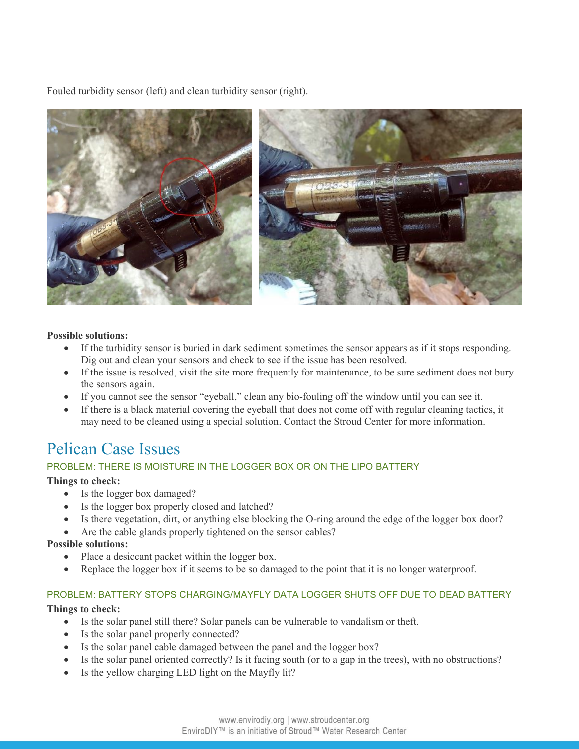Fouled turbidity sensor (left) and clean turbidity sensor (right).



#### **Possible solutions:**

- If the turbidity sensor is buried in dark sediment sometimes the sensor appears as if it stops responding. Dig out and clean your sensors and check to see if the issue has been resolved.
- If the issue is resolved, visit the site more frequently for maintenance, to be sure sediment does not bury the sensors again.
- If you cannot see the sensor "eyeball," clean any bio-fouling off the window until you can see it.
- If there is a black material covering the eyeball that does not come off with regular cleaning tactics, it may need to be cleaned using a special solution. Contact the Stroud Center for more information.

### <span id="page-4-0"></span>Pelican Case Issues

#### <span id="page-4-1"></span>PROBLEM: THERE IS MOISTURE IN THE LOGGER BOX OR ON THE LIPO BATTERY

#### **Things to check:**

- Is the logger box damaged?
- Is the logger box properly closed and latched?
- Is there vegetation, dirt, or anything else blocking the O-ring around the edge of the logger box door?
- Are the cable glands properly tightened on the sensor cables?

#### **Possible solutions:**

- Place a desiccant packet within the logger box.
- Replace the logger box if it seems to be so damaged to the point that it is no longer waterproof.

#### <span id="page-4-2"></span>PROBLEM: BATTERY STOPS CHARGING/MAYFLY DATA LOGGER SHUTS OFF DUE TO DEAD BATTERY

#### **Things to check:**

- Is the solar panel still there? Solar panels can be vulnerable to vandalism or theft.
- Is the solar panel properly connected?
- Is the solar panel cable damaged between the panel and the logger box?
- Is the solar panel oriented correctly? Is it facing south (or to a gap in the trees), with no obstructions?
- Is the yellow charging LED light on the Mayfly lit?